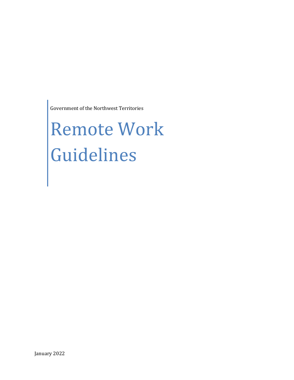Government of the Northwest Territories

# Remote Work Guidelines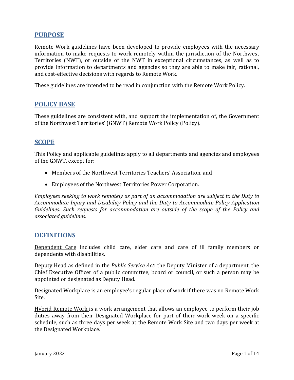## **PURPOSE**

Remote Work guidelines have been developed to provide employees with the necessary information to make requests to work remotely within the jurisdiction of the Northwest Territories (NWT), or outside of the NWT in exceptional circumstances, as well as to provide information to departments and agencies so they are able to make fair, rational, and cost-effective decisions with regards to Remote Work.

These guidelines are intended to be read in conjunction with the Remote Work Policy.

### **POLICY BASE**

These guidelines are consistent with, and support the implementation of, the Government of the Northwest Territories' (GNWT) Remote Work Policy (Policy).

### **SCOPE**

This Policy and applicable guidelines apply to all departments and agencies and employees of the GNWT, except for:

- Members of the Northwest Territories Teachers' Association, and
- Employees of the Northwest Territories Power Corporation.

*Employees seeking to work remotely as part of an accommodation are subject to the Duty to Accommodate Injury and Disability Policy and the Duty to Accommodate Policy Application Guidelines. Such requests for accommodation are outside of the scope of the Policy and associated guidelines.*

#### **DEFINITIONS**

Dependent Care includes child care, elder care and care of ill family members or dependents with disabilities.

Deputy Head as defined in the *Public Service Act*: the Deputy Minister of a department, the Chief Executive Officer of a public committee, board or council, or such a person may be appointed or designated as Deputy Head.

Designated Workplace is an employee's regular place of work if there was no Remote Work Site.

Hybrid Remote Work is a work arrangement that allows an employee to perform their job duties away from their Designated Workplace for part of their work week on a specific schedule, such as three days per week at the Remote Work Site and two days per week at the Designated Workplace.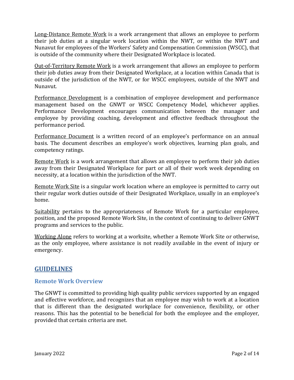Long-Distance Remote Work is a work arrangement that allows an employee to perform their job duties at a singular work location within the NWT, or within the NWT and Nunavut for employees of the Workers' Safety and Compensation Commission (WSCC), that is outside of the community where their Designated Workplace is located.

Out-of-Territory Remote Work is a work arrangement that allows an employee to perform their job duties away from their Designated Workplace, at a location within Canada that is outside of the jurisdiction of the NWT, or for WSCC employees, outside of the NWT and Nunavut.

Performance Development is a combination of employee development and performance management based on the GNWT or WSCC Competency Model, whichever applies. Performance Development encourages communication between the manager and employee by providing coaching, development and effective feedback throughout the performance period.

Performance Document is a written record of an employee's performance on an annual basis. The document describes an employee's work objectives, learning plan goals, and competency ratings.

Remote Work is a work arrangement that allows an employee to perform their job duties away from their Designated Workplace for part or all of their work week depending on necessity, at a location within the jurisdiction of the NWT.

Remote Work Site is a singular work location where an employee is permitted to carry out their regular work duties outside of their Designated Workplace, usually in an employee's home.

Suitability pertains to the appropriateness of Remote Work for a particular employee, position, and the proposed Remote Work Site, in the context of continuing to deliver GNWT programs and services to the public.

Working Alone refers to working at a worksite, whether a Remote Work Site or otherwise, as the only employee, where assistance is not readily available in the event of injury or emergency.

# **GUIDELINES**

### **Remote Work Overview**

The GNWT is committed to providing high quality public services supported by an engaged and effective workforce, and recognizes that an employee may wish to work at a location that is different than the designated workplace for convenience, flexibility, or other reasons. This has the potential to be beneficial for both the employee and the employer, provided that certain criteria are met.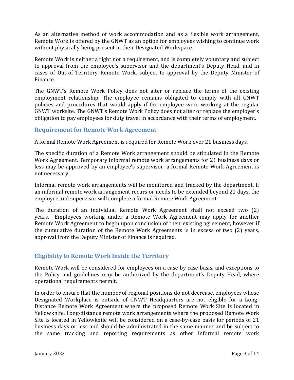As an alternative method of work accommodation and as a flexible work arrangement, Remote Work is offered by the GNWT as an option for employees wishing to continue work without physically being present in their Designated Workspace.

Remote Work is neither a right nor a requirement, and is completely voluntary and subject to approval from the employee's supervisor and the department's Deputy Head, and in cases of Out-of-Territory Remote Work, subject to approval by the Deputy Minister of Finance.

The GNWT's Remote Work Policy does not alter or replace the terms of the existing employment relationship. The employee remains obligated to comply with all GNWT policies and procedures that would apply if the employee were working at the regular GNWT worksite. The GNWT's Remote Work Policy does not alter or replace the employer's obligation to pay employees for duty travel in accordance with their terms of employment.

#### **Requirement for Remote Work Agreement**

A formal Remote Work Agreement is required for Remote Work over 21 business days.

The specific duration of a Remote Work arrangement should be stipulated in the Remote Work Agreement. Temporary informal remote work arrangements for 21 business days or less may be approved by an employee's supervisor; a formal Remote Work Agreement is not necessary.

Informal remote work arrangements will be monitored and tracked by the department. If an informal remote work arrangement recurs or needs to be extended beyond 21 days, the employee and supervisor will complete a formal Remote Work Agreement.

The duration of an individual Remote Work Agreement shall not exceed two (2) years. Employees working under a Remote Work Agreement may apply for another Remote Work Agreement to begin upon conclusion of their existing agreement, however if the cumulative duration of the Remote Work Agreements is in excess of two (2) years, approval from the Deputy Minister of Finance is required.

### **Eligibility to Remote Work Inside the Territory**

Remote Work will be considered for employees on a case by case basis, and exceptions to the Policy and guidelines may be authorized by the department's Deputy Head, where operational requirements permit.

In order to ensure that the number of regional positions do not decrease, employees whose Designated Workplace is outside of GNWT Headquarters are not eligible for a Long-Distance Remote Work Agreement where the proposed Remote Work Site is located in Yellowknife. Long-distance remote work arrangements where the proposed Remote Work Site is located in Yellowknife will be considered on a case-by-case basis for periods of 21 business days or less and should be administrated in the same manner and be subject to the same tracking and reporting requirements as other informal remote work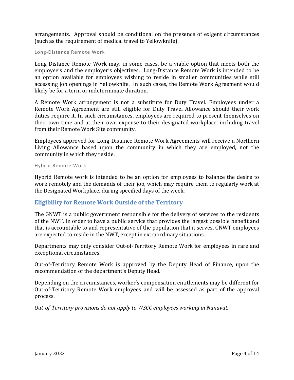arrangements. Approval should be conditional on the presence of exigent circumstances (such as the requirement of medical travel to Yellowknife).

Long-Distance Remote Work

Long-Distance Remote Work may, in some cases, be a viable option that meets both the employee's and the employer's objectives. Long-Distance Remote Work is intended to be an option available for employees wishing to reside in smaller communities while still accessing job openings in Yellowknife. In such cases, the Remote Work Agreement would likely be for a term or indeterminate duration.

A Remote Work arrangement is not a substitute for Duty Travel. Employees under a Remote Work Agreement are still eligible for Duty Travel Allowance should their work duties require it. In such circumstances, employees are required to present themselves on their own time and at their own expense to their designated workplace, including travel from their Remote Work Site community.

Employees approved for Long-Distance Remote Work Agreements will receive a Northern Living Allowance based upon the community in which they are employed, not the community in which they reside.

Hybrid Remote Work

Hybrid Remote work is intended to be an option for employees to balance the desire to work remotely and the demands of their job, which may require them to regularly work at the Designated Workplace, during specified days of the week.

### **Eligibility for Remote Work Outside of the Territory**

The GNWT is a public government responsible for the delivery of services to the residents of the NWT. In order to have a public service that provides the largest possible benefit and that is accountable to and representative of the population that it serves, GNWT employees are expected to reside in the NWT, except in extraordinary situations.

Departments may only consider Out-of-Territory Remote Work for employees in rare and exceptional circumstances.

Out-of-Territory Remote Work is approved by the Deputy Head of Finance, upon the recommendation of the department's Deputy Head.

Depending on the circumstances, worker's compensation entitlements may be different for Out-of-Territory Remote Work employees and will be assessed as part of the approval process.

*Out-of-Territory provisions do not apply to WSCC employees working in Nunavut.*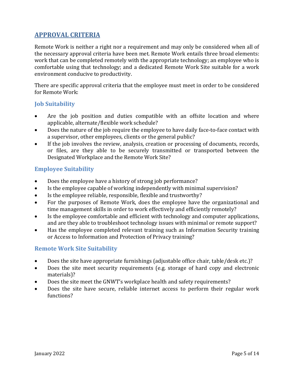# **APPROVAL CRITERIA**

Remote Work is neither a right nor a requirement and may only be considered when all of the necessary approval criteria have been met. Remote Work entails three broad elements: work that can be completed remotely with the appropriate technology; an employee who is comfortable using that technology; and a dedicated Remote Work Site suitable for a work environment conducive to productivity.

There are specific approval criteria that the employee must meet in order to be considered for Remote Work:

#### **Job Suitability**

- Are the job position and duties compatible with an offsite location and where applicable, alternate/flexible work schedule?
- Does the nature of the job require the employee to have daily face-to-face contact with a supervisor, other employees, clients or the general public?
- If the job involves the review, analysis, creation or processing of documents, records, or files, are they able to be securely transmitted or transported between the Designated Workplace and the Remote Work Site?

#### **Employee Suitability**

- Does the employee have a history of strong job performance?
- Is the employee capable of working independently with minimal supervision?
- Is the employee reliable, responsible, flexible and trustworthy?
- For the purposes of Remote Work, does the employee have the organizational and time management skills in order to work effectively and efficiently remotely?
- Is the employee comfortable and efficient with technology and computer applications, and are they able to troubleshoot technology issues with minimal or remote support?
- Has the employee completed relevant training such as Information Security training or Access to Information and Protection of Privacy training?

### **Remote Work Site Suitability**

- Does the site have appropriate furnishings (adjustable office chair, table/desk etc.)?
- Does the site meet security requirements (e.g. storage of hard copy and electronic materials)?
- Does the site meet the GNWT's workplace health and safety requirements?
- Does the site have secure, reliable internet access to perform their regular work functions?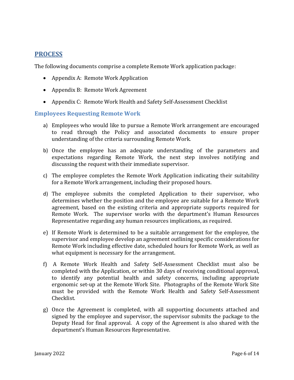### **PROCESS**

The following documents comprise a complete Remote Work application package:

- Appendix A: Remote Work Application
- Appendix B: Remote Work Agreement
- Appendix C: Remote Work Health and Safety Self-Assessment Checklist

#### **Employees Requesting Remote Work**

- a) Employees who would like to pursue a Remote Work arrangement are encouraged to read through the Policy and associated documents to ensure proper understanding of the criteria surrounding Remote Work.
- b) Once the employee has an adequate understanding of the parameters and expectations regarding Remote Work, the next step involves notifying and discussing the request with their immediate supervisor.
- c) The employee completes the Remote Work Application indicating their suitability for a Remote Work arrangement, including their proposed hours.
- d) The employee submits the completed Application to their supervisor, who determines whether the position and the employee are suitable for a Remote Work agreement, based on the existing criteria and appropriate supports required for Remote Work. The supervisor works with the department's Human Resources Representative regarding any human resources implications, as required.
- e) If Remote Work is determined to be a suitable arrangement for the employee, the supervisor and employee develop an agreement outlining specific considerations for Remote Work including effective date, scheduled hours for Remote Work, as well as what equipment is necessary for the arrangement.
- f) A Remote Work Health and Safety Self-Assessment Checklist must also be completed with the Application, or within 30 days of receiving conditional approval, to identify any potential health and safety concerns, including appropriate ergonomic set-up at the Remote Work Site. Photographs of the Remote Work Site must be provided with the Remote Work Health and Safety Self-Assessment Checklist.
- g) Once the Agreement is completed, with all supporting documents attached and signed by the employee and supervisor, the supervisor submits the package to the Deputy Head for final approval. A copy of the Agreement is also shared with the department's Human Resources Representative.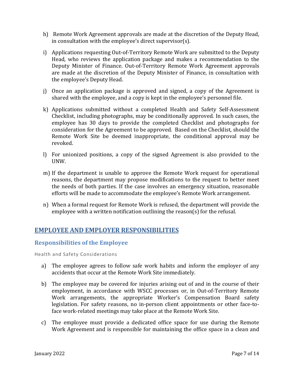- h) Remote Work Agreement approvals are made at the discretion of the Deputy Head, in consultation with the employee's direct supervisor(s).
- i) Applications requesting Out-of-Territory Remote Work are submitted to the Deputy Head, who reviews the application package and makes a recommendation to the Deputy Minister of Finance. Out-of-Territory Remote Work Agreement approvals are made at the discretion of the Deputy Minister of Finance, in consultation with the employee's Deputy Head.
- j) Once an application package is approved and signed, a copy of the Agreement is shared with the employee, and a copy is kept in the employee's personnel file.
- k) Applications submitted without a completed Health and Safety Self-Assessment Checklist, including photographs, may be conditionally approved. In such cases, the employee has 30 days to provide the completed Checklist and photographs for consideration for the Agreement to be approved. Based on the Checklist, should the Remote Work Site be deemed inappropriate, the conditional approval may be revoked.
- l) For unionized positions, a copy of the signed Agreement is also provided to the UNW.
- m) If the department is unable to approve the Remote Work request for operational reasons, the department may propose modifications to the request to better meet the needs of both parties. If the case involves an emergency situation, reasonable efforts will be made to accommodate the employee's Remote Work arrangement.
- n) When a formal request for Remote Work is refused, the department will provide the employee with a written notification outlining the reason(s) for the refusal.

## **EMPLOYEE AND EMPLOYER RESPONSIBILITIES**

#### **Responsibilities of the Employee**

Health and Safety Considerations

- a) The employee agrees to follow safe work habits and inform the employer of any accidents that occur at the Remote Work Site immediately.
- b) The employee may be covered for injuries arising out of and in the course of their employment, in accordance with WSCC processes or, in Out-of-Territory Remote Work arrangements, the appropriate Worker's Compensation Board safety legislation. For safety reasons, no in-person client appointments or other face-toface work-related meetings may take place at the Remote Work Site.
- c) The employee must provide a dedicated office space for use during the Remote Work Agreement and is responsible for maintaining the office space in a clean and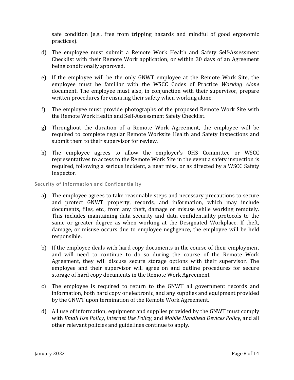safe condition (e.g., free from tripping hazards and mindful of good ergonomic practices).

- d) The employee must submit a Remote Work Health and Safety Self-Assessment Checklist with their Remote Work application, or within 30 days of an Agreement being conditionally approved.
- e) If the employee will be the only GNWT employee at the Remote Work Site, the employee must be familiar with the WSCC Codes of Practice *Working Alone* document. The employee must also, in conjunction with their supervisor, prepare written procedures for ensuring their safety when working alone.
- f) The employee must provide photographs of the proposed Remote Work Site with the Remote Work Health and Self-Assessment Safety Checklist.
- g) Throughout the duration of a Remote Work Agreement, the employee will be required to complete regular Remote Worksite Health and Safety Inspections and submit them to their supervisor for review.
- h) The employee agrees to allow the employer's OHS Committee or WSCC representatives to access to the Remote Work Site in the event a safety inspection is required, following a serious incident, a near miss, or as directed by a WSCC Safety Inspector.

Security of Information and Confidentiality

- a) The employee agrees to take reasonable steps and necessary precautions to secure and protect GNWT property, records, and information, which may include documents, files, etc., from any theft, damage or misuse while working remotely. This includes maintaining data security and data confidentiality protocols to the same or greater degree as when working at the Designated Workplace. If theft, damage, or misuse occurs due to employee negligence, the employee will be held responsible.
- b) If the employee deals with hard copy documents in the course of their employment and will need to continue to do so during the course of the Remote Work Agreement, they will discuss secure storage options with their supervisor. The employee and their supervisor will agree on and outline procedures for secure storage of hard copy documents in the Remote Work Agreement.
- c) The employee is required to return to the GNWT all government records and information, both hard copy or electronic, and any supplies and equipment provided by the GNWT upon termination of the Remote Work Agreement.
- d) All use of information, equipment and supplies provided by the GNWT must comply with *Email Use Policy*, *Internet Use Policy*, and *Mobile Handheld Devices Policy*, and all other relevant policies and guidelines continue to apply.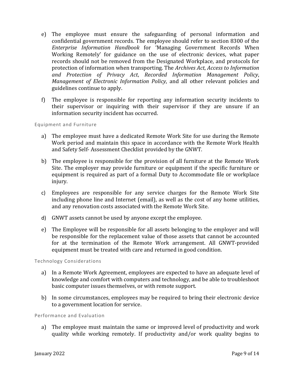- e) The employee must ensure the safeguarding of personal information and confidential government records. The employee should refer to section 8300 of the *Enterprise Information Handbook* for 'Managing Government Records When Working Remotely' for guidance on the use of electronic devices, what paper records should not be removed from the Designated Workplace, and protocols for protection of information when transporting. The *Archives Act*, *Access to Information and Protection of Privacy Act*, *Recorded Information Management Policy*, *Management of Electronic Information Policy*, and all other relevant policies and guidelines continue to apply.
- f) The employee is responsible for reporting any information security incidents to their supervisor or inquiring with their supervisor if they are unsure if an information security incident has occurred.

Equipment and Furniture

- a) The employee must have a dedicated Remote Work Site for use during the Remote Work period and maintain this space in accordance with the Remote Work Health and Safety Self- Assessment Checklist provided by the GNWT.
- b) The employee is responsible for the provision of all furniture at the Remote Work Site. The employer may provide furniture or equipment if the specific furniture or equipment is required as part of a formal Duty to Accommodate file or workplace injury.
- c) Employees are responsible for any service charges for the Remote Work Site including phone line and Internet (email), as well as the cost of any home utilities, and any renovation costs associated with the Remote Work Site.
- d) GNWT assets cannot be used by anyone except the employee.
- e) The Employee will be responsible for all assets belonging to the employer and will be responsible for the replacement value of those assets that cannot be accounted for at the termination of the Remote Work arrangement. All GNWT-provided equipment must be treated with care and returned in good condition.

Technology Considerations

- a) In a Remote Work Agreement, employees are expected to have an adequate level of knowledge and comfort with computers and technology, and be able to troubleshoot basic computer issues themselves, or with remote support.
- b) In some circumstances, employees may be required to bring their electronic device to a government location for service.

Performance and Evaluation

a) The employee must maintain the same or improved level of productivity and work quality while working remotely. If productivity and/or work quality begins to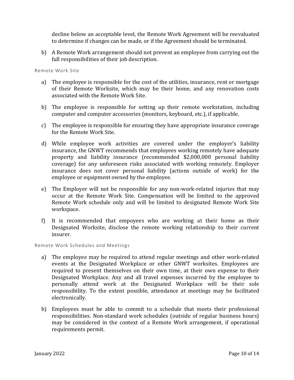decline below an acceptable level, the Remote Work Agreement will be reevaluated to determine if changes can be made, or if the Agreement should be terminated.

b) A Remote Work arrangement should not prevent an employee from carrying out the full responsibilities of their job description.

Remote Work Site

- a) The employee is responsible for the cost of the utilities, insurance, rent or mortgage of their Remote Worksite, which may be their home, and any renovation costs associated with the Remote Work Site.
- b) The employee is responsible for setting up their remote workstation, including computer and computer accessories (monitors, keyboard, etc.), if applicable.
- c) The employee is responsible for ensuring they have appropriate insurance coverage for the Remote Work Site.
- d) While employee work activities are covered under the employer's liability insurance, the GNWT recommends that employees working remotely have adequate property and liability insurance (recommended \$2,000,000 personal liability coverage) for any unforeseen risks associated with working remotely. Employer insurance does not cover personal liability (actions outside of work) for the employee or equipment owned by the employee.
- e) The Employer will not be responsible for any non-work-related injuries that may occur at the Remote Work Site. Compensation will be limited to the approved Remote Work schedule only and will be limited to designated Remote Work Site workspace.
- f) It is recommended that empoyees who are working at their home as their Designated Worksite, disclose the remote working relationship to their current insurer.

Remote Work Schedules and Meetings

- a) The employee may be required to attend regular meetings and other work-related events at the Designated Workplace or other GNWT worksites. Employees are required to present themselves on their own time, at their own expense to their Designated Workplace. Any and all travel expenses incurred by the employee to personally attend work at the Designated Workplace will be their sole responsibility. To the extent possible, attendance at meetings may be facilitated electronically.
- b) Employees must be able to commit to a schedule that meets their professional responsibilities. Non-standard work schedules (outside of regular business hours) may be considered in the context of a Remote Work arrangement, if operational requirements permit.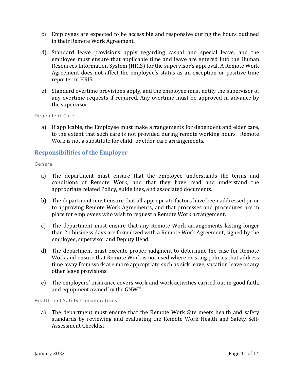- c) Employees are expected to be accessible and responsive during the hours outlined in their Remote Work Agreement.
- d) Standard leave provisions apply regarding casual and special leave, and the employee must ensure that applicable time and leave are entered into the Human Resources Information System (HRIS) for the supervisor's approval. A Remote Work Agreement does not affect the employee's status as an exception or positive time reporter in HRIS.
- e) Standard overtime provisions apply, and the employee must notify the supervisor of any overtime requests if required. Any overtime must be approved in advance by the supervisor.

Dependent Care

a) If applicable, the Employee must make arrangements for dependent and elder care, to the extent that such care is not provided during remote working hours. Remote Work is not a substitute for child- or elder-care arrangements.

#### **Responsibilities of the Employer**

#### General

- a) The department must ensure that the employee understands the terms and conditions of Remote Work, and that they have read and understand the appropriate related Policy, guidelines, and associated documents.
- b) The department must ensure that all appropriate factors have been addressed prior to approving Remote Work Agreements, and that processes and procedures are in place for employees who wish to request a Remote Work arrangement.
- c) The department must ensure that any Remote Work arrangements lasting longer than 21 business days are formalized with a Remote Work Agreement, signed by the employee, supervisor and Deputy Head.
- d) The department must execute proper judgment to determine the case for Remote Work and ensure that Remote Work is not used where existing policies that address time away from work are more appropriate such as sick leave, vacation leave or any other leave provisions.
- e) The employers' insurance covers work and work activities carried out in good faith, and equipment owned by the GNWT.

Health and Safety Considerations

a) The department must ensure that the Remote Work Site meets health and safety standards by reviewing and evaluating the Remote Work Health and Safety Self-Assessment Checklist.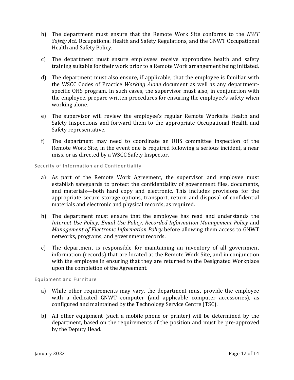- b) The department must ensure that the Remote Work Site conforms to the *NWT Safety Act*, Occupational Health and Safety Regulations, and the GNWT Occupational Health and Safety Policy.
- c) The department must ensure employees receive appropriate health and safety training suitable for their work prior to a Remote Work arrangement being initiated.
- d) The department must also ensure, if applicable, that the employee is familiar with the WSCC Codes of Practice *Working Alone* document as well as any departmentspecific OHS program. In such cases, the supervisor must also, in conjunction with the employee, prepare written procedures for ensuring the employee's safety when working alone.
- e) The supervisor will review the employee's regular Remote Worksite Health and Safety Inspections and forward them to the appropriate Occupational Health and Safety representative.
- f) The department may need to coordinate an OHS committee inspection of the Remote Work Site, in the event one is required following a serious incident, a near miss, or as directed by a WSCC Safety Inspector.

#### Security of Information and Confidentiality

- a) As part of the Remote Work Agreement, the supervisor and employee must establish safeguards to protect the confidentiality of government files, documents, and materials—both hard copy and electronic. This includes provisions for the appropriate secure storage options, transport, return and disposal of confidential materials and electronic and physical records, as required.
- b) The department must ensure that the employee has read and understands the *Internet Use Policy*, *Email Use Policy*, *Recorded Information Management Policy* and *Management of Electronic Information Policy* before allowing them access to GNWT networks, programs, and government records.
- c) The department is responsible for maintaining an inventory of all government information (records) that are located at the Remote Work Site, and in conjunction with the employee in ensuring that they are returned to the Designated Workplace upon the completion of the Agreement.

Equipment and Furniture

- a) While other requirements may vary, the department must provide the employee with a dedicated GNWT computer (and applicable computer accessories), as configured and maintained by the Technology Service Centre (TSC).
- b) All other equipment (such a mobile phone or printer) will be determined by the department, based on the requirements of the position and must be pre-approved by the Deputy Head.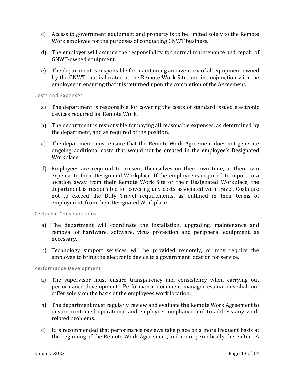- c) Access to government equipment and property is to be limited solely to the Remote Work employee for the purposes of conducting GNWT business.
- d) The employer will assume the responsibility for normal maintenance and repair of GNWT-owned equipment.
- e) The department is responsible for maintaining an inventory of all equipment owned by the GNWT that is located at the Remote Work Site, and in conjunction with the employee in ensuring that it is returned upon the completion of the Agreement.

#### Costs and Expenses

- a) The department is responsible for covering the costs of standard issued electronic devices required for Remote Work.
- b) The department is responsible for paying all reasonable expenses, as determined by the department, and as required of the position.
- c) The department must ensure that the Remote Work Agreement does not generate ongoing additional costs that would not be created in the employee's Designated Workplace.
- d) Employees are required to present themselves on their own time, at their own expense to their Designated Workplace. If the employee is required to report to a location away from their Remote Work Site or their Designated Workplace, the department is responsible for covering any costs associated with travel. Costs are not to exceed the Duty Travel requirements, as outlined in their terms of employment, from their Designated Workplace.

Technical Considerations

- a) The department will coordinate the installation, upgrading, maintenance and removal of hardware, software, virus protection and peripheral equipment, as necessary.
- b) Technology support services will be provided remotely, or may require the employee to bring the electronic device to a government location for service.

Performance Development

- a) The supervisor must ensure transparency and consistency when carrying out performance development. Performance document manager evaluations shall not differ solely on the basis of the employees work location.
- b) The department must regularly review and evaluate the Remote Work Agreement to ensure continued operational and employee compliance and to address any work related problems.
- c) It is recommended that performance reviews take place on a more frequent basis at the beginning of the Remote Work Agreement, and more periodically thereafter. A